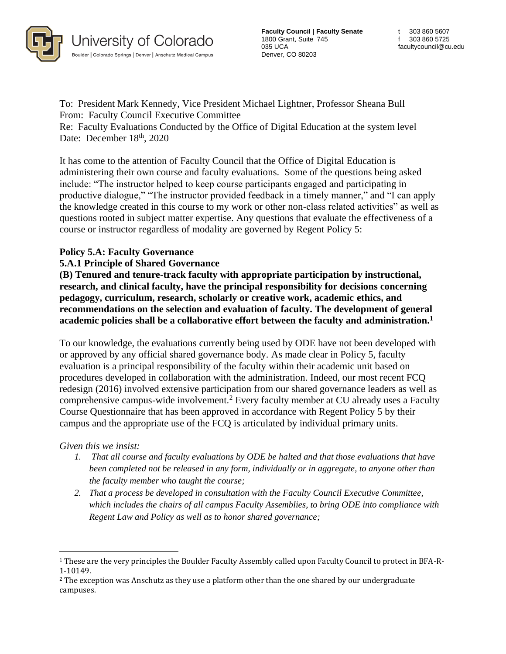

**Faculty Council | Faculty Senate** 1800 Grant, Suite 745 035 UCA Denver, CO 80203

To: President Mark Kennedy, Vice President Michael Lightner, Professor Sheana Bull From: Faculty Council Executive Committee

Re: Faculty Evaluations Conducted by the Office of Digital Education at the system level Date: December 18<sup>th</sup>, 2020

It has come to the attention of Faculty Council that the Office of Digital Education is administering their own course and faculty evaluations. Some of the questions being asked include: "The instructor helped to keep course participants engaged and participating in productive dialogue," "The instructor provided feedback in a timely manner," and "I can apply the knowledge created in this course to my work or other non-class related activities" as well as questions rooted in subject matter expertise. Any questions that evaluate the effectiveness of a course or instructor regardless of modality are governed by Regent Policy 5:

## **Policy 5.A: Faculty Governance**

## **5.A.1 Principle of Shared Governance**

**(B) Tenured and tenure-track faculty with appropriate participation by instructional, research, and clinical faculty, have the principal responsibility for decisions concerning pedagogy, curriculum, research, scholarly or creative work, academic ethics, and recommendations on the selection and evaluation of faculty. The development of general academic policies shall be a collaborative effort between the faculty and administration.<sup>1</sup>**

To our knowledge, the evaluations currently being used by ODE have not been developed with or approved by any official shared governance body. As made clear in Policy 5, faculty evaluation is a principal responsibility of the faculty within their academic unit based on procedures developed in collaboration with the administration. Indeed, our most recent FCQ redesign (2016) involved extensive participation from our shared governance leaders as well as comprehensive campus-wide involvement.<sup>2</sup> Every faculty member at CU already uses a Faculty Course Questionnaire that has been approved in accordance with Regent Policy 5 by their campus and the appropriate use of the FCQ is articulated by individual primary units.

*Given this we insist:*

- *1. That all course and faculty evaluations by ODE be halted and that those evaluations that have been completed not be released in any form, individually or in aggregate, to anyone other than the faculty member who taught the course;*
- *2. That a process be developed in consultation with the Faculty Council Executive Committee, which includes the chairs of all campus Faculty Assemblies, to bring ODE into compliance with Regent Law and Policy as well as to honor shared governance;*

<sup>1</sup> These are the very principles the Boulder Faculty Assembly called upon Faculty Council to protect in BFA-R-1-10149.

<sup>&</sup>lt;sup>2</sup> The exception was Anschutz as they use a platform other than the one shared by our undergraduate campuses.